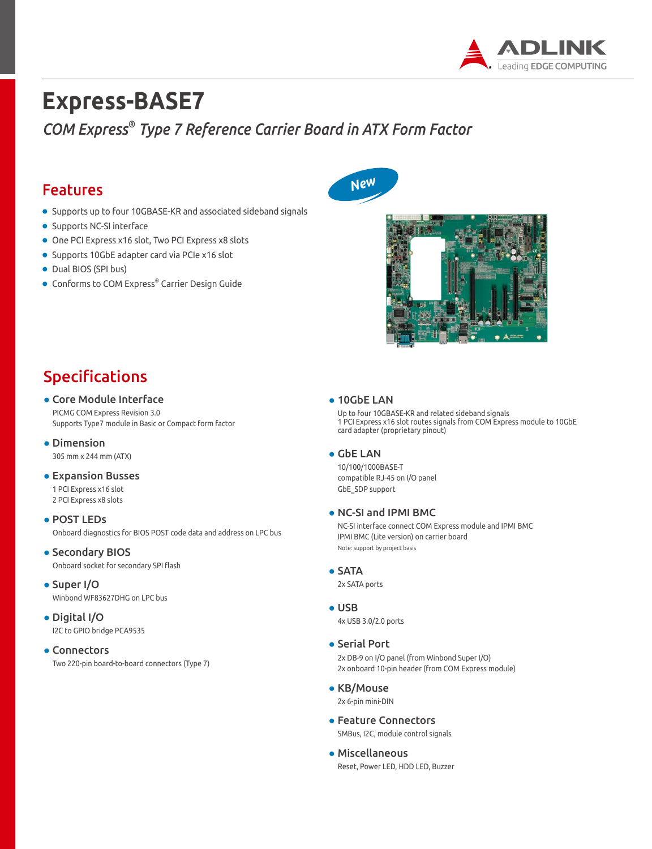

# **Express-BASE7**

*COM Express® Type 7 Reference Carrier Board in ATX Form Factor*

### Features

- Supports up to four 10GBASE-KR and associated sideband signals
- Supports NC-SI interface
- One PCI Express x16 slot, Two PCI Express x8 slots
- Supports 10GbE adapter card via PCIe x16 slot
- Dual BIOS (SPI bus)
- Conforms to COM Express® Carrier Design Guide





# Specifications

### ● Core Module Interface PICMG COM Express Revision 3.0

Supports Type7 module in Basic or Compact form factor

● Dimension 305 mm x 244 mm (ATX)

#### ● Expansion Busses 1 PCI Express x16 slot

- 2 PCI Express x8 slots
- POST LEDs Onboard diagnostics for BIOS POST code data and address on LPC bus
- **Secondary BIOS** Onboard socket for secondary SPI flash
- Super I/O Winbond WF83627DHG on LPC bus
- Digital I/O I2C to GPIO bridge PCA9535

#### ● Connectors

Two 220-pin board-to-board connectors (Type 7)

#### ● 10GbE LAN

Up to four 10GBASE-KR and related sideband signals 1 PCI Express x16 slot routes signals from COM Express module to 10GbE card adapter (proprietary pinout)

#### ● GbE LAN

10/100/1000BASE-T compatible RJ-45 on I/O panel GbE\_SDP support

#### ● NC-SI and IPMI BMC

NC-SI interface connect COM Express module and IPMI BMC IPMI BMC (Lite version) on carrier board Note: support by project basis

#### ● SATA

2x SATA ports

- USB 4x USB 3.0/2.0 ports
- Serial Port

2x DB-9 on I/O panel (from Winbond Super I/O) 2x onboard 10-pin header (from COM Express module)

- KB/Mouse 2x 6-pin mini-DIN
- Feature Connectors SMBus, I2C, module control signals
- Miscellaneous Reset, Power LED, HDD LED, Buzzer